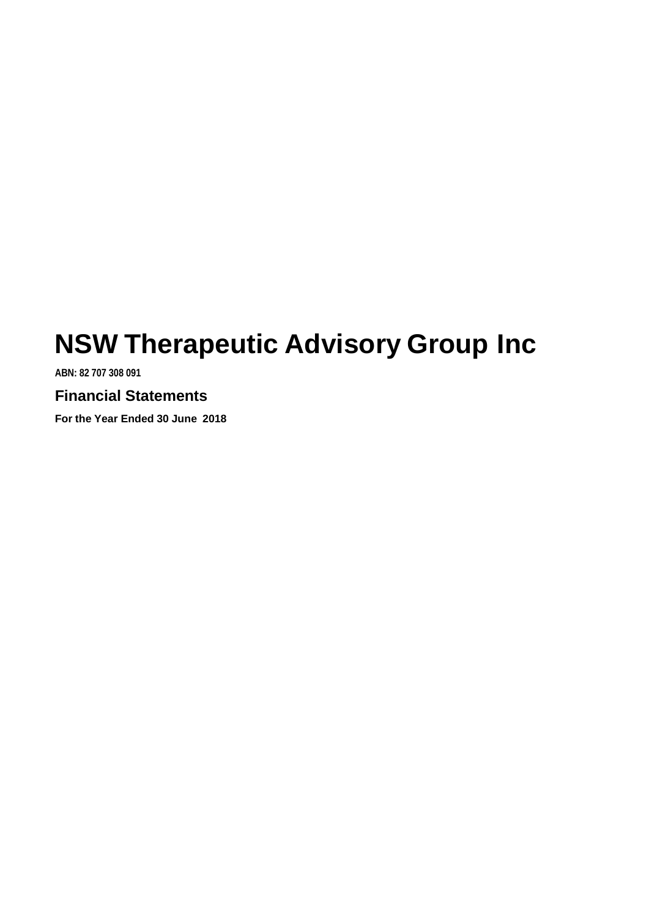**ABN: 82 707 308 091**

# **Financial Statements**

**For the Year Ended 30 June 2018**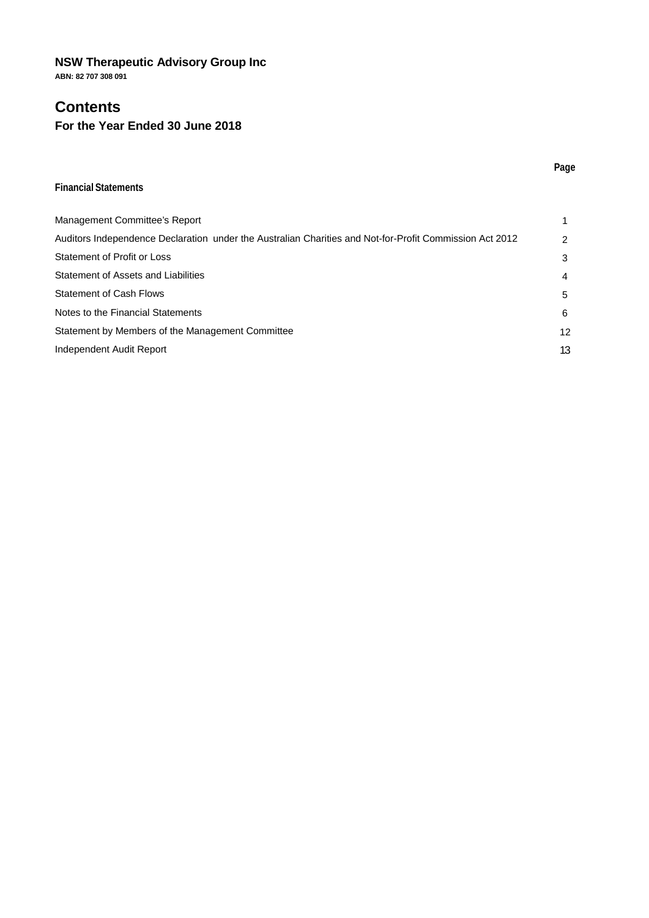**ABN: 82 707 308 091**

# **Contents**

### **For the Year Ended 30 June 2018**

### **Financial Statements**

| Management Committee's Report                                                                           |    |
|---------------------------------------------------------------------------------------------------------|----|
| Auditors Independence Declaration under the Australian Charities and Not-for-Profit Commission Act 2012 | 2  |
| Statement of Profit or Loss                                                                             | 3  |
| Statement of Assets and Liabilities                                                                     | 4  |
| Statement of Cash Flows                                                                                 | 5  |
| Notes to the Financial Statements                                                                       | 6  |
| Statement by Members of the Management Committee                                                        | 12 |
| Independent Audit Report                                                                                | 13 |

**Page**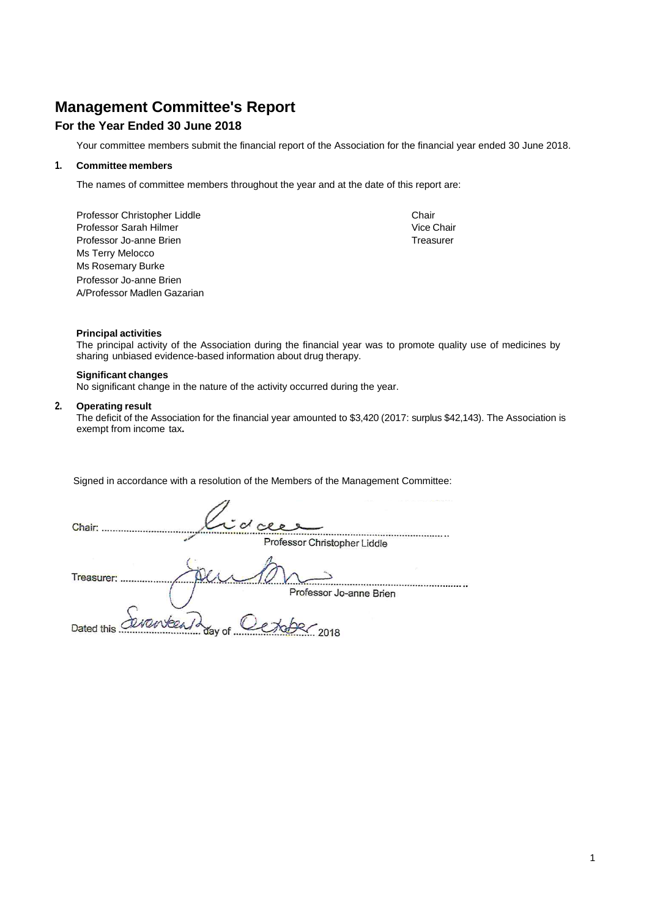# **Management Committee's Report**

### **For the Year Ended 30 June 2018**

Your committee members submit the financial report of the Association for the financial year ended 30 June 2018.

### **1. Committee members**

The names of committee members throughout the year and at the date of this report are:

Professor Christopher Liddle<br>
Professor Sarah Hilmer<br>
Chair Chair Professor Sarah Hilmer Professor Jo-anne Brien Treasurer Channels and Treasurer Treasurer Ms Terry Melocco Ms Rosemary Burke Professor Jo-anne Brien A/Professor Madlen Gazarian

### **Principal activities**

The principal activity of the Association during the financial year was to promote quality use of medicines by sharing unbiased evidence-based information about drug therapy.

### **Significant changes**

No significant change in the nature of the activity occurred during the year.

#### **2. Operating result**

The deficit of the Association for the financial year amounted to \$3,420 (2017: surplus \$42,143). The Association is exempt from income tax**.**

Signed in accordance with a resolution of the Members of the Management Committee:

| Chair:     |                   | coceer  |                              |  |
|------------|-------------------|---------|------------------------------|--|
|            |                   |         | Professor Christopher Liddle |  |
| Treasurer: |                   |         |                              |  |
|            |                   |         | Professor Jo-anne Brien      |  |
| Dated this | deventeent day of | Le type | 2018                         |  |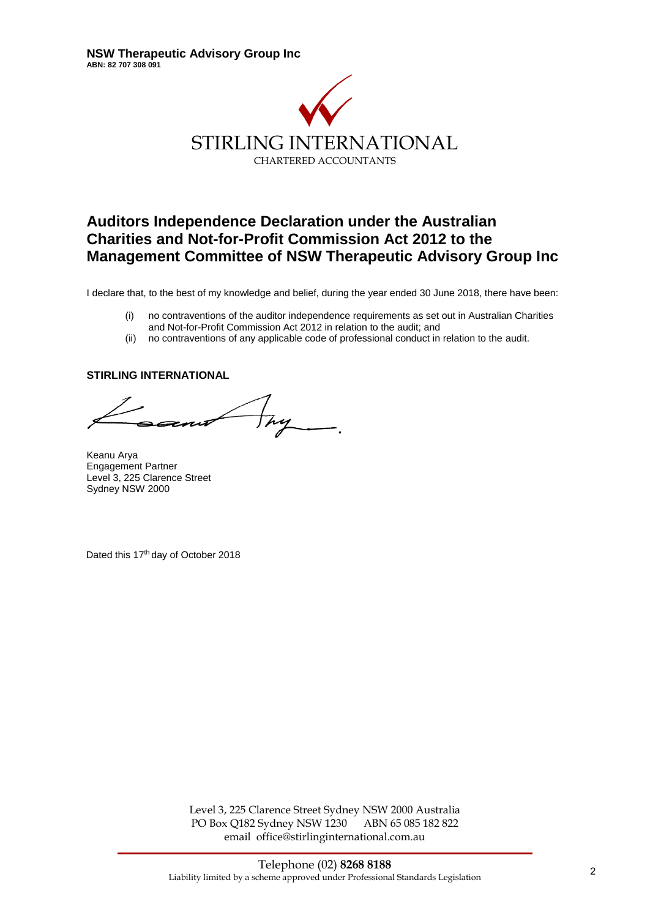

# **Auditors Independence Declaration under the Australian Charities and Not-for-Profit Commission Act 2012 to the Management Committee of NSW Therapeutic Advisory Group Inc**

I declare that, to the best of my knowledge and belief, during the year ended 30 June 2018, there have been:

- (i) no contraventions of the auditor independence requirements as set out in Australian Charities and Not-for-Profit Commission Act 2012 in relation to the audit; and
- (ii) no contraventions of any applicable code of professional conduct in relation to the audit.

### **STIRLING INTERNATIONAL**

hy

Keanu Arya Engagement Partner Level 3, 225 Clarence Street Sydney NSW 2000

Dated this 17<sup>th</sup> day of October 2018

Level 3, 225 Clarence Street Sydney NSW 2000 Australia PO Box Q182 Sydney NSW 1230 ABN 65 085 182 822 email office@stirlinginternational.com.au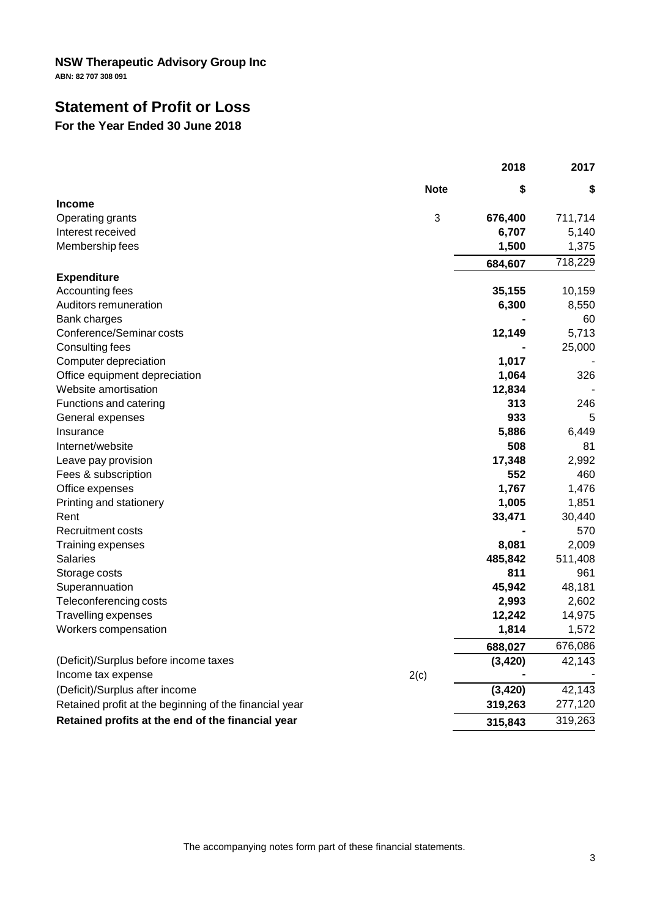**ABN: 82 707 308 091**

# **Statement of Profit or Loss**

### **For the Year Ended 30 June 2018**

| \$<br><b>Note</b><br>\$<br>3<br>Operating grants<br>676,400<br>711,714<br>6,707<br>5,140<br>1,500<br>1,375<br>718,229<br>684,607<br>35,155<br>10,159<br>6,300<br>8,550<br>60<br>12,149<br>5,713<br>25,000<br>1,017<br>1,064<br>326<br>12,834<br>313<br>246<br>933<br>5<br>5,886<br>6,449<br>508<br>81<br>17,348<br>2,992<br>552<br>460<br>1,767<br>1,476<br>1,005<br>Printing and stationery<br>1,851<br>33,471<br>30,440<br>570<br>8,081<br>2,009<br>Training expenses<br>485,842<br>511,408<br>811<br>961<br>45,942<br>48,181<br>Teleconferencing costs<br>2,993<br>2,602<br>Travelling expenses<br>12,242<br>14,975<br>1,814<br>1,572<br>676,086<br>688,027<br>(3, 420)<br>42,143<br>(Deficit)/Surplus before income taxes<br>2(c)<br>Income tax expense<br>(3, 420)<br>42,143<br>(Deficit)/Surplus after income<br>Retained profit at the beginning of the financial year<br>319,263<br>277,120 |                                                   | 2018    | 2017    |
|-----------------------------------------------------------------------------------------------------------------------------------------------------------------------------------------------------------------------------------------------------------------------------------------------------------------------------------------------------------------------------------------------------------------------------------------------------------------------------------------------------------------------------------------------------------------------------------------------------------------------------------------------------------------------------------------------------------------------------------------------------------------------------------------------------------------------------------------------------------------------------------------------------|---------------------------------------------------|---------|---------|
|                                                                                                                                                                                                                                                                                                                                                                                                                                                                                                                                                                                                                                                                                                                                                                                                                                                                                                     |                                                   |         |         |
|                                                                                                                                                                                                                                                                                                                                                                                                                                                                                                                                                                                                                                                                                                                                                                                                                                                                                                     | <b>Income</b>                                     |         |         |
|                                                                                                                                                                                                                                                                                                                                                                                                                                                                                                                                                                                                                                                                                                                                                                                                                                                                                                     |                                                   |         |         |
|                                                                                                                                                                                                                                                                                                                                                                                                                                                                                                                                                                                                                                                                                                                                                                                                                                                                                                     | Interest received                                 |         |         |
|                                                                                                                                                                                                                                                                                                                                                                                                                                                                                                                                                                                                                                                                                                                                                                                                                                                                                                     | Membership fees                                   |         |         |
|                                                                                                                                                                                                                                                                                                                                                                                                                                                                                                                                                                                                                                                                                                                                                                                                                                                                                                     |                                                   |         |         |
|                                                                                                                                                                                                                                                                                                                                                                                                                                                                                                                                                                                                                                                                                                                                                                                                                                                                                                     | <b>Expenditure</b>                                |         |         |
|                                                                                                                                                                                                                                                                                                                                                                                                                                                                                                                                                                                                                                                                                                                                                                                                                                                                                                     | Accounting fees                                   |         |         |
|                                                                                                                                                                                                                                                                                                                                                                                                                                                                                                                                                                                                                                                                                                                                                                                                                                                                                                     | Auditors remuneration                             |         |         |
|                                                                                                                                                                                                                                                                                                                                                                                                                                                                                                                                                                                                                                                                                                                                                                                                                                                                                                     | Bank charges                                      |         |         |
|                                                                                                                                                                                                                                                                                                                                                                                                                                                                                                                                                                                                                                                                                                                                                                                                                                                                                                     | Conference/Seminar costs                          |         |         |
|                                                                                                                                                                                                                                                                                                                                                                                                                                                                                                                                                                                                                                                                                                                                                                                                                                                                                                     | Consulting fees                                   |         |         |
|                                                                                                                                                                                                                                                                                                                                                                                                                                                                                                                                                                                                                                                                                                                                                                                                                                                                                                     | Computer depreciation                             |         |         |
|                                                                                                                                                                                                                                                                                                                                                                                                                                                                                                                                                                                                                                                                                                                                                                                                                                                                                                     | Office equipment depreciation                     |         |         |
|                                                                                                                                                                                                                                                                                                                                                                                                                                                                                                                                                                                                                                                                                                                                                                                                                                                                                                     | Website amortisation                              |         |         |
|                                                                                                                                                                                                                                                                                                                                                                                                                                                                                                                                                                                                                                                                                                                                                                                                                                                                                                     | Functions and catering                            |         |         |
|                                                                                                                                                                                                                                                                                                                                                                                                                                                                                                                                                                                                                                                                                                                                                                                                                                                                                                     | General expenses                                  |         |         |
|                                                                                                                                                                                                                                                                                                                                                                                                                                                                                                                                                                                                                                                                                                                                                                                                                                                                                                     | Insurance                                         |         |         |
|                                                                                                                                                                                                                                                                                                                                                                                                                                                                                                                                                                                                                                                                                                                                                                                                                                                                                                     | Internet/website                                  |         |         |
|                                                                                                                                                                                                                                                                                                                                                                                                                                                                                                                                                                                                                                                                                                                                                                                                                                                                                                     | Leave pay provision                               |         |         |
|                                                                                                                                                                                                                                                                                                                                                                                                                                                                                                                                                                                                                                                                                                                                                                                                                                                                                                     | Fees & subscription                               |         |         |
|                                                                                                                                                                                                                                                                                                                                                                                                                                                                                                                                                                                                                                                                                                                                                                                                                                                                                                     | Office expenses                                   |         |         |
|                                                                                                                                                                                                                                                                                                                                                                                                                                                                                                                                                                                                                                                                                                                                                                                                                                                                                                     |                                                   |         |         |
|                                                                                                                                                                                                                                                                                                                                                                                                                                                                                                                                                                                                                                                                                                                                                                                                                                                                                                     | Rent                                              |         |         |
|                                                                                                                                                                                                                                                                                                                                                                                                                                                                                                                                                                                                                                                                                                                                                                                                                                                                                                     | <b>Recruitment costs</b>                          |         |         |
|                                                                                                                                                                                                                                                                                                                                                                                                                                                                                                                                                                                                                                                                                                                                                                                                                                                                                                     |                                                   |         |         |
|                                                                                                                                                                                                                                                                                                                                                                                                                                                                                                                                                                                                                                                                                                                                                                                                                                                                                                     | Salaries                                          |         |         |
|                                                                                                                                                                                                                                                                                                                                                                                                                                                                                                                                                                                                                                                                                                                                                                                                                                                                                                     | Storage costs                                     |         |         |
|                                                                                                                                                                                                                                                                                                                                                                                                                                                                                                                                                                                                                                                                                                                                                                                                                                                                                                     | Superannuation                                    |         |         |
|                                                                                                                                                                                                                                                                                                                                                                                                                                                                                                                                                                                                                                                                                                                                                                                                                                                                                                     |                                                   |         |         |
|                                                                                                                                                                                                                                                                                                                                                                                                                                                                                                                                                                                                                                                                                                                                                                                                                                                                                                     |                                                   |         |         |
|                                                                                                                                                                                                                                                                                                                                                                                                                                                                                                                                                                                                                                                                                                                                                                                                                                                                                                     | Workers compensation                              |         |         |
|                                                                                                                                                                                                                                                                                                                                                                                                                                                                                                                                                                                                                                                                                                                                                                                                                                                                                                     |                                                   |         |         |
|                                                                                                                                                                                                                                                                                                                                                                                                                                                                                                                                                                                                                                                                                                                                                                                                                                                                                                     |                                                   |         |         |
|                                                                                                                                                                                                                                                                                                                                                                                                                                                                                                                                                                                                                                                                                                                                                                                                                                                                                                     |                                                   |         |         |
|                                                                                                                                                                                                                                                                                                                                                                                                                                                                                                                                                                                                                                                                                                                                                                                                                                                                                                     |                                                   |         |         |
|                                                                                                                                                                                                                                                                                                                                                                                                                                                                                                                                                                                                                                                                                                                                                                                                                                                                                                     |                                                   |         |         |
|                                                                                                                                                                                                                                                                                                                                                                                                                                                                                                                                                                                                                                                                                                                                                                                                                                                                                                     | Retained profits at the end of the financial year | 315,843 | 319,263 |

The accompanying notes form part of these financial statements.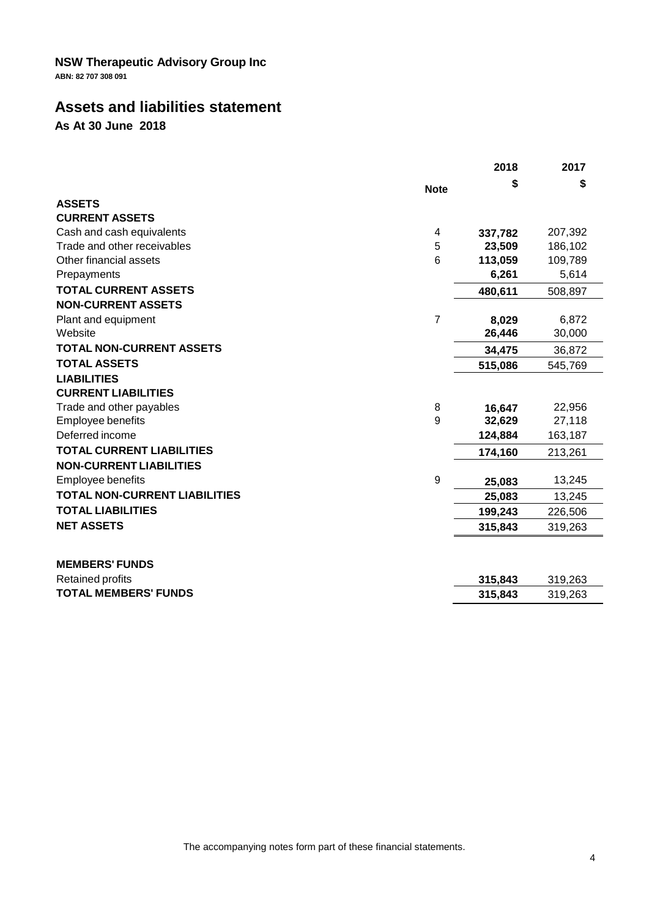**ABN: 82 707 308 091**

# **Assets and liabilities statement**

**As At 30 June 2018**

|                                      |             | 2018    | 2017    |
|--------------------------------------|-------------|---------|---------|
|                                      | <b>Note</b> |         | \$      |
| <b>ASSETS</b>                        |             |         |         |
| <b>CURRENT ASSETS</b>                |             |         |         |
| Cash and cash equivalents            | 4           | 337,782 | 207,392 |
| Trade and other receivables          | 5           | 23,509  | 186,102 |
| Other financial assets               | 6           | 113,059 | 109,789 |
| Prepayments                          |             | 6,261   | 5,614   |
| <b>TOTAL CURRENT ASSETS</b>          |             | 480,611 | 508,897 |
| <b>NON-CURRENT ASSETS</b>            |             |         |         |
| Plant and equipment                  | 7           | 8,029   | 6,872   |
| Website                              |             | 26,446  | 30,000  |
| <b>TOTAL NON-CURRENT ASSETS</b>      |             | 34,475  | 36,872  |
| <b>TOTAL ASSETS</b>                  |             | 515,086 | 545,769 |
| <b>LIABILITIES</b>                   |             |         |         |
| <b>CURRENT LIABILITIES</b>           |             |         |         |
| Trade and other payables             | 8           | 16,647  | 22,956  |
| Employee benefits                    | 9           | 32,629  | 27,118  |
| Deferred income                      |             | 124,884 | 163,187 |
| <b>TOTAL CURRENT LIABILITIES</b>     |             | 174,160 | 213,261 |
| <b>NON-CURRENT LIABILITIES</b>       |             |         |         |
| Employee benefits                    | 9           | 25,083  | 13,245  |
| <b>TOTAL NON-CURRENT LIABILITIES</b> |             | 25,083  | 13,245  |
| <b>TOTAL LIABILITIES</b>             |             | 199,243 | 226,506 |
| <b>NET ASSETS</b>                    |             | 315,843 | 319,263 |
| <b>MEMBERS' FUNDS</b>                |             |         |         |
| Retained profits                     |             | 315,843 | 319,263 |
| <b>TOTAL MEMBERS' FUNDS</b>          |             | 315,843 | 319,263 |
|                                      |             |         |         |

The accompanying notes form part of these financial statements.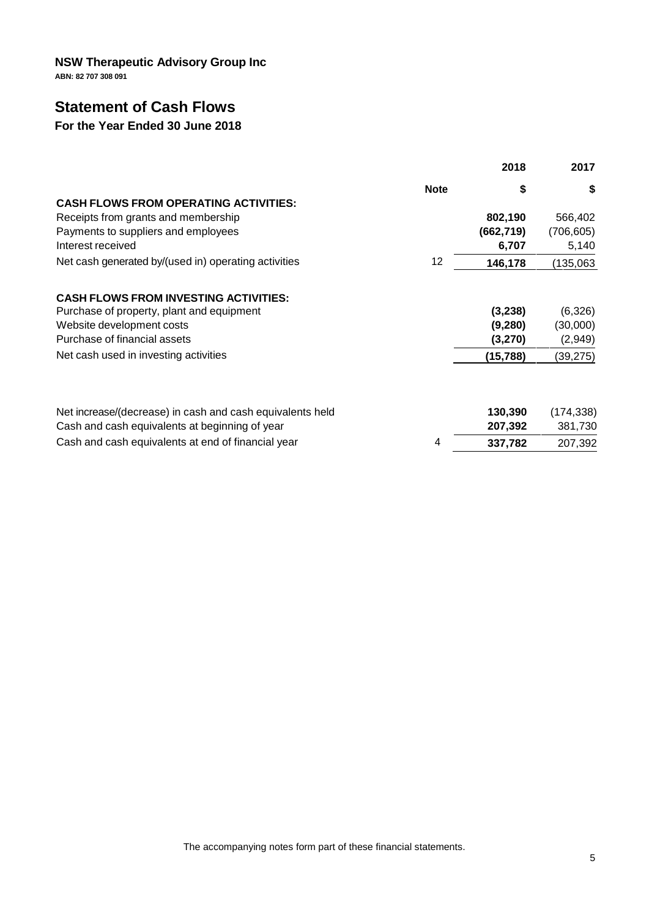**ABN: 82 707 308 091**

# **Statement of Cash Flows**

# **For the Year Ended 30 June 2018**

|                                                           |             | 2018       | 2017       |
|-----------------------------------------------------------|-------------|------------|------------|
|                                                           | <b>Note</b> | \$         | \$         |
| <b>CASH FLOWS FROM OPERATING ACTIVITIES:</b>              |             |            |            |
| Receipts from grants and membership                       |             | 802,190    | 566,402    |
| Payments to suppliers and employees                       |             | (662, 719) | (706, 605) |
| Interest received                                         |             | 6,707      | 5,140      |
| Net cash generated by/(used in) operating activities      | 12          | 146,178    | 135,063    |
| <b>CASH FLOWS FROM INVESTING ACTIVITIES:</b>              |             |            |            |
| Purchase of property, plant and equipment                 |             | (3, 238)   | (6,326)    |
| Website development costs                                 |             | (9,280)    | (30,000)   |
| Purchase of financial assets                              |             | (3,270)    | (2,949)    |
| Net cash used in investing activities                     |             | (15, 788)  | (39,275)   |
|                                                           |             |            |            |
| Net increase/(decrease) in cash and cash equivalents held |             | 130,390    | (174, 338) |
| Cash and cash equivalents at beginning of year            |             | 207,392    | 381,730    |
| Cash and cash equivalents at end of financial year        | 4           | 337,782    | 207,392    |

The accompanying notes form part of these financial statements.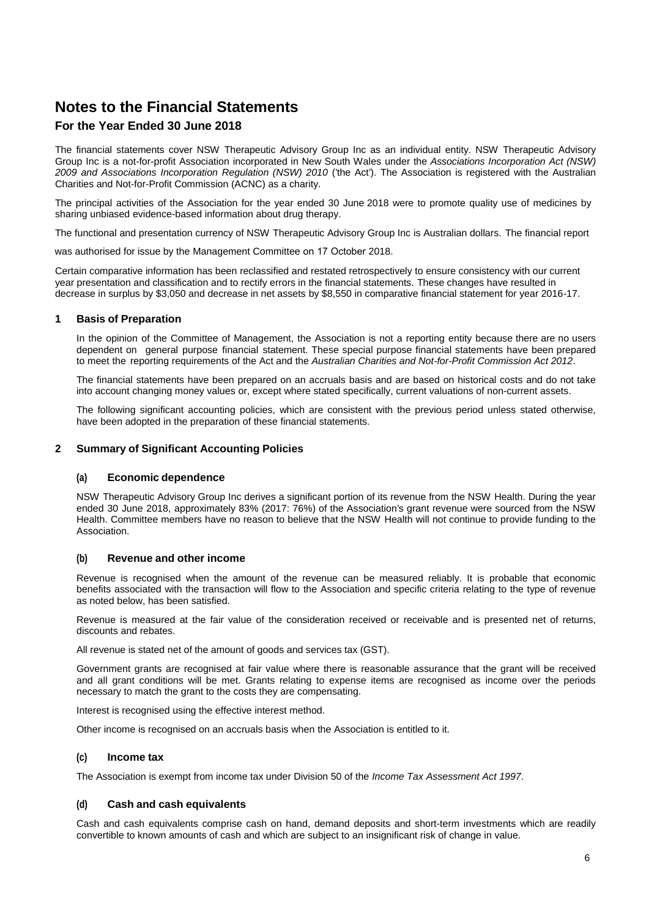### **For the Year Ended 30 June 2018**

The financial statements cover NSW Therapeutic Advisory Group Inc as an individual entity. NSW Therapeutic Advisory Group Inc is a not-for-profit Association incorporated in New South Wales under the *Associations Incorporation Act (NSW) 2009 and Associations Incorporation Regulation (NSW) 2010* ('the Act'). The Association is registered with the Australian Charities and Not-for-Profit Commission (ACNC) as a charity.

The principal activities of the Association for the year ended 30 June 2018 were to promote quality use of medicines by sharing unbiased evidence-based information about drug therapy.

The functional and presentation currency of NSW Therapeutic Advisory Group Inc is Australian dollars. The financial report

was authorised for issue by the Management Committee on 17 October 2018.

Certain comparative information has been reclassified and restated retrospectively to ensure consistency with our current year presentation and classification and to rectify errors in the financial statements. These changes have resulted in decrease in surplus by \$3,050 and decrease in net assets by \$8,550 in comparative financial statement for year 2016-17.

### **1 Basis of Preparation**

In the opinion of the Committee of Management, the Association is not a reporting entity because there are no users dependent on general purpose financial statement. These special purpose financial statements have been prepared to meet the reporting requirements of the Act and the *Australian Charities and Not-for-Profit Commission Act 2012*.

The financial statements have been prepared on an accruals basis and are based on historical costs and do not take into account changing money values or, except where stated specifically, current valuations of non-current assets.

The following significant accounting policies, which are consistent with the previous period unless stated otherwise, have been adopted in the preparation of these financial statements.

### **2 Summary of Significant Accounting Policies**

### **(a) Economic dependence**

NSW Therapeutic Advisory Group Inc derives a significant portion of its revenue from the NSW Health. During the year ended 30 June 2018, approximately 83% (2017: 76%) of the Association's grant revenue were sourced from the NSW Health. Committee members have no reason to believe that the NSW Health will not continue to provide funding to the Association.

### **(b) Revenue and other income**

Revenue is recognised when the amount of the revenue can be measured reliably. It is probable that economic benefits associated with the transaction will flow to the Association and specific criteria relating to the type of revenue as noted below, has been satisfied.

Revenue is measured at the fair value of the consideration received or receivable and is presented net of returns, discounts and rebates.

All revenue is stated net of the amount of goods and services tax (GST).

Government grants are recognised at fair value where there is reasonable assurance that the grant will be received and all grant conditions will be met. Grants relating to expense items are recognised as income over the periods necessary to match the grant to the costs they are compensating.

Interest is recognised using the effective interest method.

Other income is recognised on an accruals basis when the Association is entitled to it.

### **(c) Income tax**

The Association is exempt from income tax under Division 50 of the *Income Tax Assessment Act 1997*.

### **(d) Cash and cash equivalents**

Cash and cash equivalents comprise cash on hand, demand deposits and short-term investments which are readily convertible to known amounts of cash and which are subject to an insignificant risk of change in value.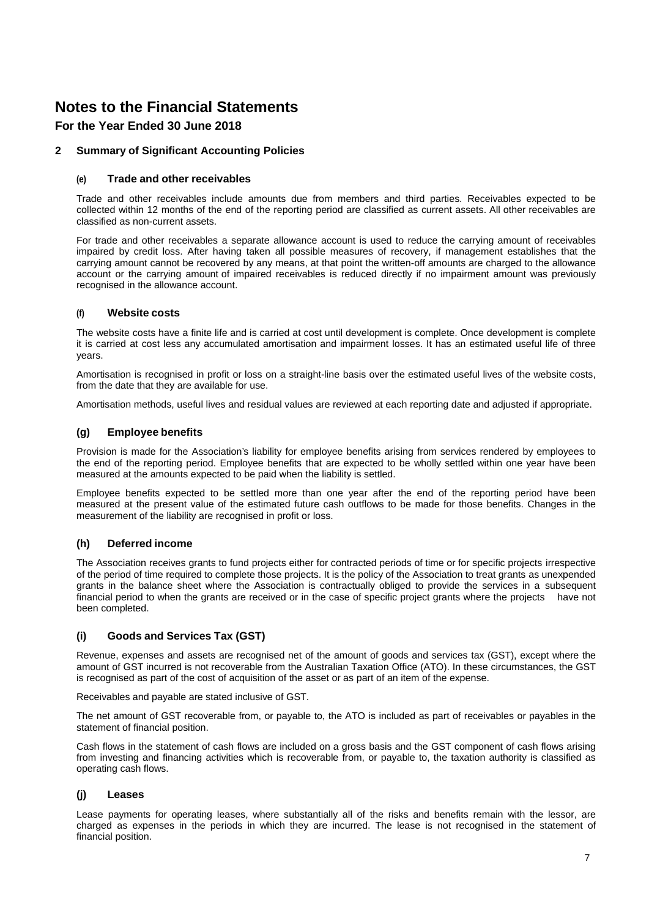### **For the Year Ended 30 June 2018**

### **2 Summary of Significant Accounting Policies**

### **(e) Trade and other receivables**

Trade and other receivables include amounts due from members and third parties. Receivables expected to be collected within 12 months of the end of the reporting period are classified as current assets. All other receivables are classified as non-current assets.

For trade and other receivables a separate allowance account is used to reduce the carrying amount of receivables impaired by credit loss. After having taken all possible measures of recovery, if management establishes that the carrying amount cannot be recovered by any means, at that point the written-off amounts are charged to the allowance account or the carrying amount of impaired receivables is reduced directly if no impairment amount was previously recognised in the allowance account.

### **(f) Website costs**

The website costs have a finite life and is carried at cost until development is complete. Once development is complete it is carried at cost less any accumulated amortisation and impairment losses. It has an estimated useful life of three years.

Amortisation is recognised in profit or loss on a straight-line basis over the estimated useful lives of the website costs, from the date that they are available for use.

Amortisation methods, useful lives and residual values are reviewed at each reporting date and adjusted if appropriate.

### **(g) Employee benefits**

Provision is made for the Association's liability for employee benefits arising from services rendered by employees to the end of the reporting period. Employee benefits that are expected to be wholly settled within one year have been measured at the amounts expected to be paid when the liability is settled.

Employee benefits expected to be settled more than one year after the end of the reporting period have been measured at the present value of the estimated future cash outflows to be made forthose benefits. Changes in the measurement of the liability are recognised in profit or loss.

### **(h) Deferred income**

The Association receives grants to fund projects either for contracted periods of time or for specific projects irrespective of the period of time required to complete those projects. It is the policy of the Association to treat grants as unexpended grants in the balance sheet where the Association is contractually obliged to provide the services in a subsequent financial period to when the grants are received or in the case of specific project grants where the projects have not been completed.

### **(i) Goods and Services Tax (GST)**

Revenue, expenses and assets are recognised net of the amount of goods and services tax (GST), except where the amount of GST incurred is not recoverable from the Australian Taxation Office (ATO). In these circumstances, the GST is recognised as part of the cost of acquisition of the asset or as part of an item of the expense.

Receivables and payable are stated inclusive of GST.

The net amount of GST recoverable from, or payable to, the ATO is included as part of receivables or payables in the statement of financial position.

Cash flows in the statement of cash flows are included on a gross basis and the GST component of cash flows arising from investing and financing activities which is recoverable from, or payable to, the taxation authority is classified as operating cash flows.

### **(j) Leases**

Lease payments for operating leases, where substantially all of the risks and benefits remain with the lessor, are charged as expenses in the periods in which they are incurred. The lease is not recognised in the statement of financial position.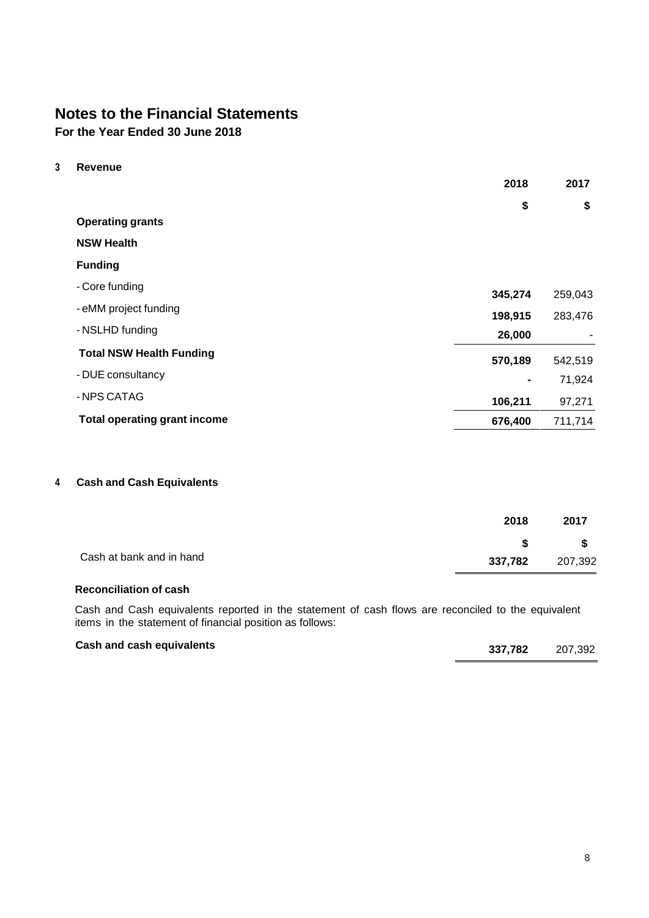**For the Year Ended 30 June 2018**

**3 Revenue**

|                                     | 2018           | 2017    |
|-------------------------------------|----------------|---------|
|                                     | \$             | \$      |
| <b>Operating grants</b>             |                |         |
| <b>NSW Health</b>                   |                |         |
| <b>Funding</b>                      |                |         |
| - Core funding                      | 345,274        | 259,043 |
| - eMM project funding               | 198,915        | 283,476 |
| - NSLHD funding                     | 26,000         |         |
| <b>Total NSW Health Funding</b>     | 570,189        | 542,519 |
| - DUE consultancy                   | $\blacksquare$ | 71,924  |
| - NPS CATAG                         | 106,211        | 97,271  |
| <b>Total operating grant income</b> | 676,400        | 711,714 |

### **4 Cash and Cash Equivalents**

|                          | 2018    | 2017     |  |
|--------------------------|---------|----------|--|
|                          | S S     | <b>S</b> |  |
| Cash at bank and in hand | 337,782 | 207,392  |  |

### **Reconciliation of cash**

Cash and Cash equivalents reported in the statement of cash flows are reconciled to the equivalent items in the statement of financial position as follows:

### **Cash and cash equivalents 337,782** 207,392

| 337,782 | 207,392 |
|---------|---------|
|         |         |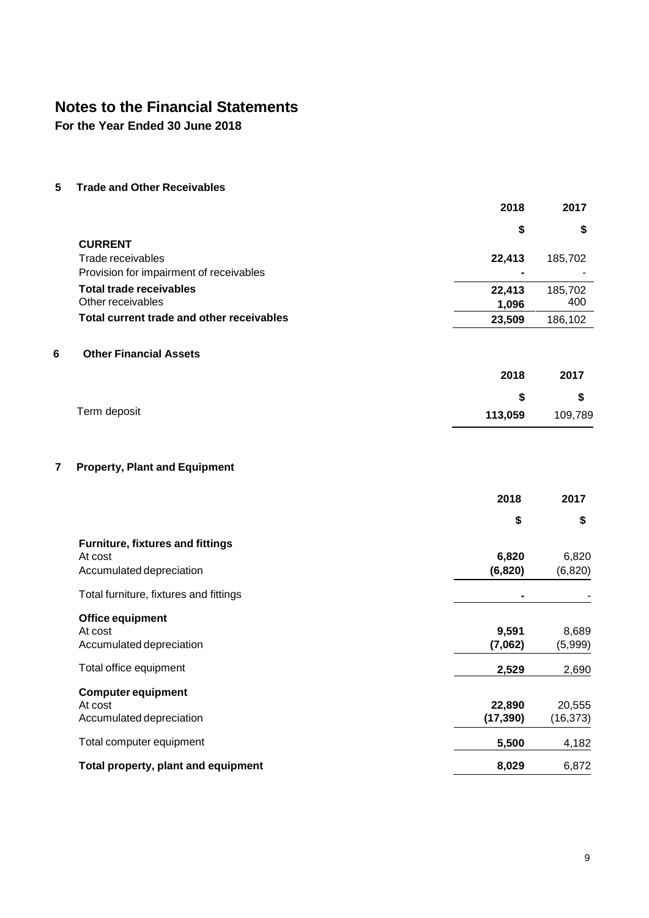**For the Year Ended 30 June 2018**

**5 Trade and Other Receivables**

|                                           | 2018    | 2017    |
|-------------------------------------------|---------|---------|
|                                           | \$      | \$      |
| <b>CURRENT</b>                            |         |         |
| Trade receivables                         | 22,413  | 185,702 |
| Provision for impairment of receivables   |         |         |
| <b>Total trade receivables</b>            | 22,413  | 185,702 |
| Other receivables                         | 1,096   | 400     |
| Total current trade and other receivables | 23,509  | 186,102 |
| 6<br><b>Other Financial Assets</b>        |         |         |
|                                           | 2018    | 2017    |
|                                           | \$      | \$      |
| Term deposit                              | 113,059 | 109,789 |
|                                           |         |         |
| 7<br><b>Property, Plant and Equipment</b> |         |         |
|                                           | 2018    | 2017    |

| \$                  | \$                  |
|---------------------|---------------------|
| 6,820<br>(6, 820)   | 6,820<br>(6, 820)   |
|                     |                     |
| 9,591<br>(7,062)    | 8,689<br>(5,999)    |
| 2,529               | 2,690               |
| 22,890<br>(17, 390) | 20,555<br>(16, 373) |
| 5,500               | 4,182               |
| 8,029               | 6,872               |
|                     |                     |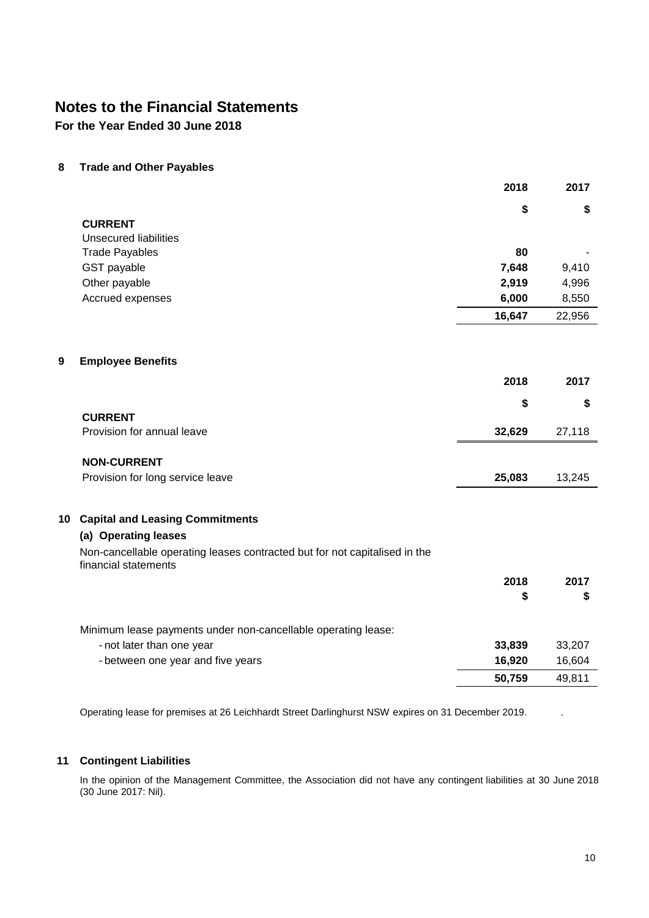**For the Year Ended 30 June 2018**

**8 Trade and Other Payables**

|   |                                                                                                    | 2018   | 2017   |
|---|----------------------------------------------------------------------------------------------------|--------|--------|
|   |                                                                                                    | \$     | \$     |
|   | <b>CURRENT</b>                                                                                     |        |        |
|   | <b>Unsecured liabilities</b>                                                                       |        |        |
|   | <b>Trade Payables</b>                                                                              | 80     |        |
|   | GST payable                                                                                        | 7,648  | 9,410  |
|   | Other payable                                                                                      | 2,919  | 4,996  |
|   | Accrued expenses                                                                                   | 6,000  | 8,550  |
|   |                                                                                                    | 16,647 | 22,956 |
| 9 | <b>Employee Benefits</b>                                                                           |        |        |
|   |                                                                                                    | 2018   | 2017   |
|   |                                                                                                    | \$     | \$     |
|   | <b>CURRENT</b>                                                                                     |        |        |
|   | Provision for annual leave                                                                         | 32,629 | 27,118 |
|   | <b>NON-CURRENT</b>                                                                                 |        |        |
|   | Provision for long service leave                                                                   | 25,083 | 13,245 |
|   | 10 Capital and Leasing Commitments                                                                 |        |        |
|   | (a) Operating leases                                                                               |        |        |
|   | Non-cancellable operating leases contracted but for not capitalised in the<br>financial statements |        |        |
|   |                                                                                                    | 2018   | 2017   |
|   |                                                                                                    | \$     | \$     |
|   |                                                                                                    |        |        |
|   | Minimum lease payments under non-cancellable operating lease:                                      |        |        |
|   | - not later than one year                                                                          | 33,839 | 33,207 |
|   | - between one year and five years                                                                  | 16,920 | 16,604 |
|   |                                                                                                    |        |        |

Operating lease for premises at 26 Leichhardt Street Darlinghurst NSW expires on 31 December 2019. .

### **11 Contingent Liabilities**

In the opinion of the Management Committee, the Association did not have any contingent liabilities at 30 June 2018 (30 June 2017: Nil).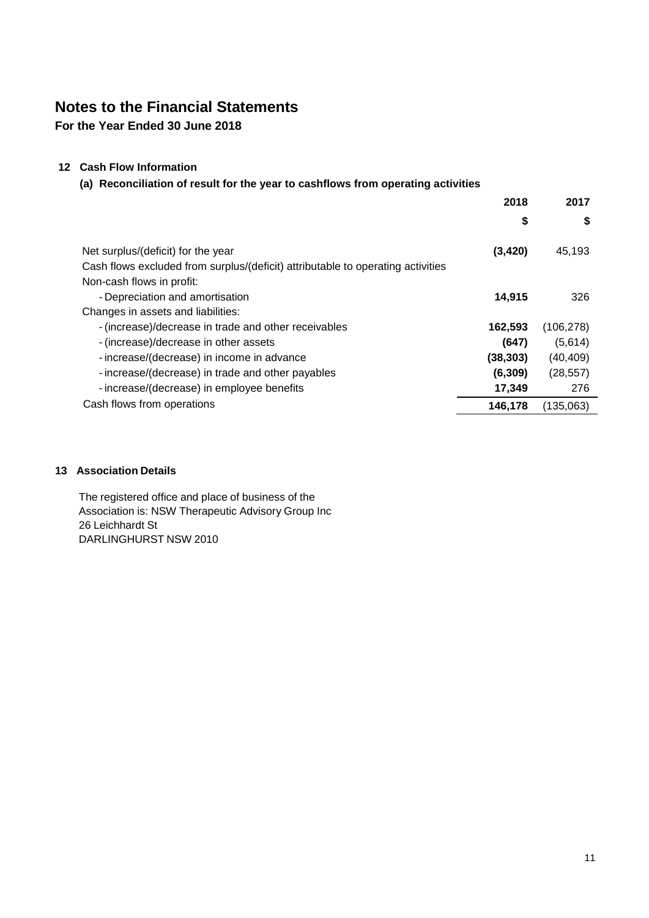**For the Year Ended 30 June 2018**

### **12 Cash Flow Information**

### **(a) Reconciliation of result for the year to cashflows from operating activities**

|                                                                                 | 2018      | 2017       |
|---------------------------------------------------------------------------------|-----------|------------|
|                                                                                 | \$        | \$         |
| Net surplus/(deficit) for the year                                              | (3, 420)  | 45,193     |
| Cash flows excluded from surplus/(deficit) attributable to operating activities |           |            |
| Non-cash flows in profit:                                                       |           |            |
| - Depreciation and amortisation                                                 | 14,915    | 326        |
| Changes in assets and liabilities:                                              |           |            |
| - (increase)/decrease in trade and other receivables                            | 162,593   | (106, 278) |
| - (increase)/decrease in other assets                                           | (647)     | (5,614)    |
| - increase/(decrease) in income in advance                                      | (38, 303) | (40, 409)  |
| - increase/(decrease) in trade and other payables                               | (6, 309)  | (28, 557)  |
| - increase/(decrease) in employee benefits                                      | 17,349    | 276        |
| Cash flows from operations                                                      | 146,178   | (135,063)  |

### **13 Association Details**

The registered office and place of business of the Association is: NSW Therapeutic Advisory Group Inc 26 Leichhardt St DARLINGHURST NSW 2010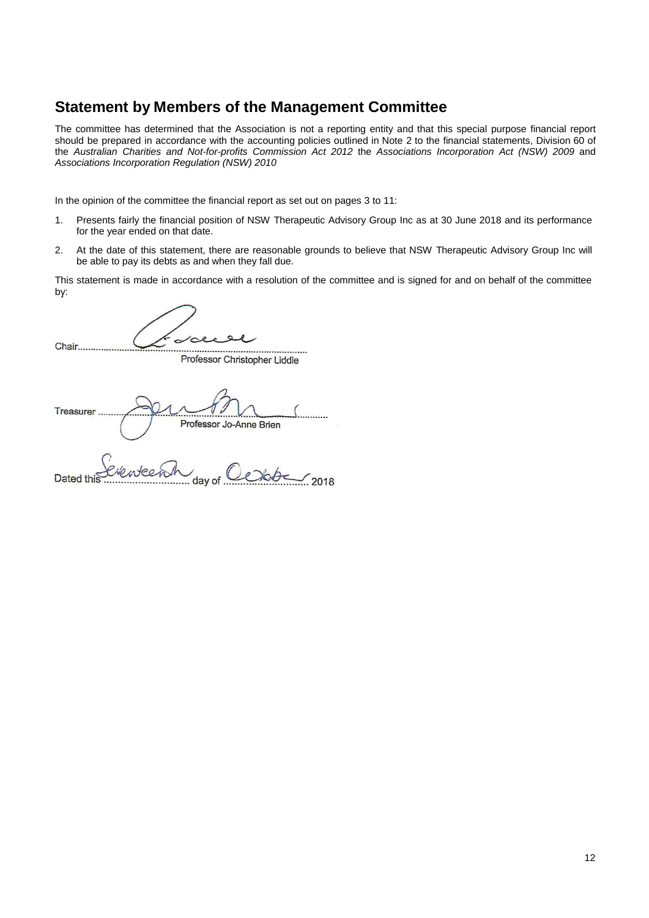# **Statement by Members of the Management Committee**

The committee has determined that the Association is not a reporting entity and that this special purpose financial report should be prepared in accordance with the accounting policies outlined in Note 2 to the financial statements, Division 60 of the *Australian Charities and Not-for-profits Commission Act 2012* the *Associations Incorporation Act (NSW) 2009* and *Associations Incorporation Regulation (NSW) 2010*

In the opinion of the committee the financial report as set out on pages 3 to 11:

- 1. Presents fairly the financial position of NSW Therapeutic Advisory Group Inc as at 30 June 2018 and its performance for the year ended on that date.
- 2. At the date of this statement, there are reasonable grounds to believe that NSW Therapeutic Advisory Group Inc will be able to pay its debts as and when they fall due.

This statement is made in accordance with a resolution of the committee and is signed for and on behalf of the committee by:

Chair............. 

Professor Christopher Liddle

Treasurer. Professor Jo-Anne Brien

Nouteen Dated tl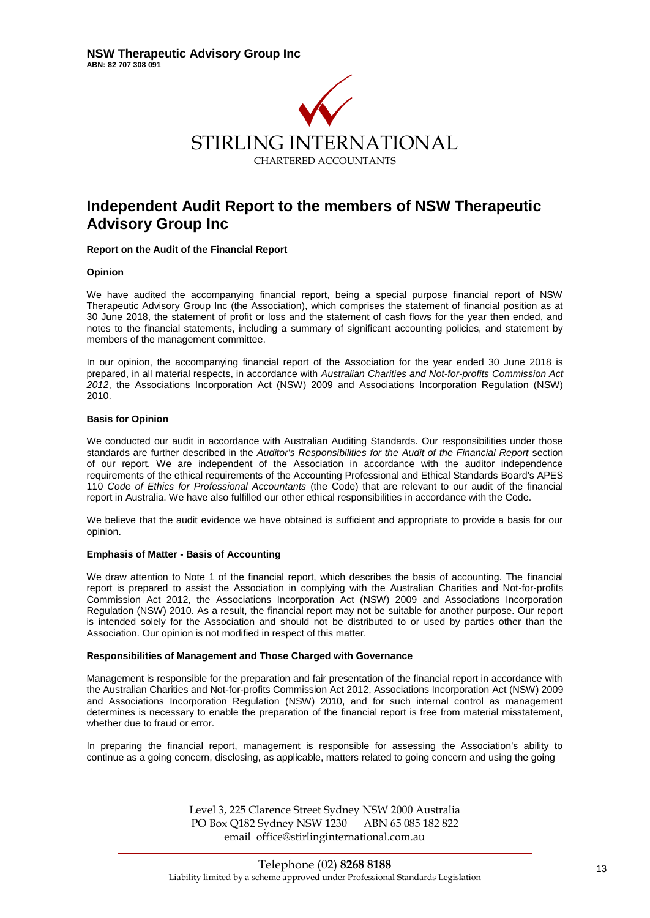

# **Independent Audit Report to the members of NSW Therapeutic Advisory Group Inc**

#### **Report on the Audit of the Financial Report**

#### **Opinion**

We have audited the accompanying financial report, being a special purpose financial report of NSW Therapeutic Advisory Group Inc (the Association), which comprises the statement of financial position as at 30 June 2018, the statement of profit or loss and the statement of cash flows for the year then ended, and notes to the financial statements, including a summary of significant accounting policies, and statement by members of the management committee.

In our opinion, the accompanying financial report of the Association for the year ended 30 June 2018 is prepared, in all material respects, in accordance with *Australian Charities and Not-for-profits Commission Act 2012*, the Associations Incorporation Act (NSW) 2009 and Associations Incorporation Regulation (NSW) 2010.

#### **Basis for Opinion**

We conducted our audit in accordance with Australian Auditing Standards. Our responsibilities under those standards are further described in the *Auditor's Responsibilities for the Audit of the Financial Report* section of our report. We are independent of the Association in accordance with the auditor independence requirements of the ethical requirements of the Accounting Professional and Ethical Standards Board's APES 110 *Code of Ethics for Professional Accountants* (the Code) that are relevant to our audit of the financial report in Australia. We have also fulfilled our other ethical responsibilities in accordance with the Code.

We believe that the audit evidence we have obtained is sufficient and appropriate to provide a basis for our opinion.

#### **Emphasis of Matter - Basis of Accounting**

We draw attention to Note 1 of the financial report, which describes the basis of accounting. The financial report is prepared to assist the Association in complying with the Australian Charities and Not-for-profits Commission Act 2012, the Associations Incorporation Act (NSW) 2009 and Associations Incorporation Regulation (NSW) 2010. As a result, the financial report may not be suitable for another purpose. Our report is intended solely for the Association and should not be distributed to or used by parties other than the Association. Our opinion is not modified in respect of this matter.

#### **Responsibilities of Management and Those Charged with Governance**

Management is responsible for the preparation and fair presentation of the financial report in accordance with the Australian Charities and Not-for-profits Commission Act 2012, Associations Incorporation Act (NSW) 2009 and Associations Incorporation Regulation (NSW) 2010, and for such internal control as management determines is necessary to enable the preparation of the financial report is free from material misstatement, whether due to fraud or error.

In preparing the financial report, management is responsible for assessing the Association's ability to continue as a going concern, disclosing, as applicable, matters related to going concern and using the going

> Level 3, 225 Clarence Street Sydney NSW 2000 Australia PO Box Q182 Sydney NSW 1230 ABN 65 085 182 822 email office@stirlinginternational.com.au